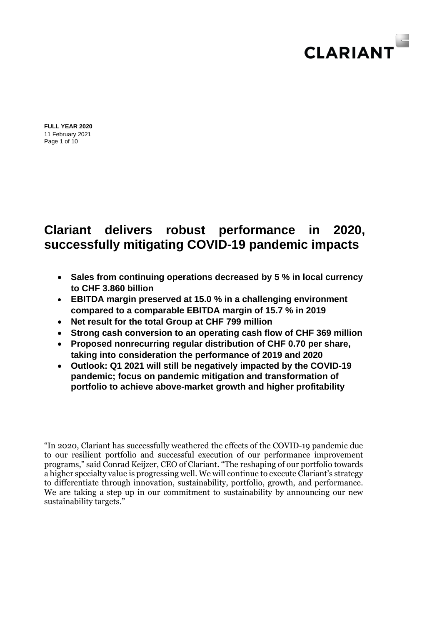

Page 1 of 10 **FULL YEAR 2020** 11 February 2021

# **Clariant delivers robust performance in 2020, successfully mitigating COVID-19 pandemic impacts**

- **Sales from continuing operations decreased by 5 % in local currency to CHF 3.860 billion**
- **EBITDA margin preserved at 15.0 % in a challenging environment compared to a comparable EBITDA margin of 15.7 % in 2019**
- **Net result for the total Group at CHF 799 million**
- **Strong cash conversion to an operating cash flow of CHF 369 million**
- **Proposed nonrecurring regular distribution of CHF 0.70 per share, taking into consideration the performance of 2019 and 2020**
- **Outlook: Q1 2021 will still be negatively impacted by the COVID-19 pandemic; focus on pandemic mitigation and transformation of portfolio to achieve above-market growth and higher profitability**

"In 2020, Clariant has successfully weathered the effects of the COVID-19 pandemic due to our resilient portfolio and successful execution of our performance improvement programs," said Conrad Keijzer, CEO of Clariant. "The reshaping of our portfolio towards a higher specialty value is progressing well. We will continue to execute Clariant's strategy to differentiate through innovation, sustainability, portfolio, growth, and performance. We are taking a step up in our commitment to sustainability by announcing our new sustainability targets."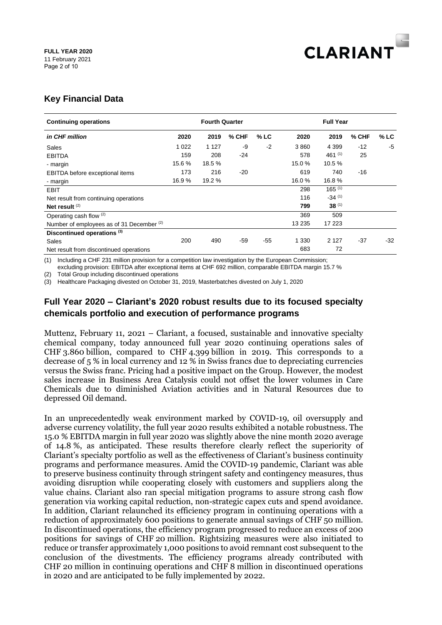

## **Key Financial Data**

| <b>Continuing operations</b>              |         | <b>Fourth Quarter</b> |         |        | <b>Full Year</b> |             |       |        |
|-------------------------------------------|---------|-----------------------|---------|--------|------------------|-------------|-------|--------|
| in CHF million                            | 2020    | 2019                  | $%$ CHF | $%$ LC | 2020             | 2019        | % CHF | $%$ LC |
| Sales                                     | 1 0 2 2 | 1 1 2 7               | -9      | $-2$   | 3860             | 4 3 9 9     | $-12$ | -5     |
| <b>EBITDA</b>                             | 159     | 208                   | -24     |        | 578              | 461 $(1)$   | 25    |        |
| - margin                                  | 15.6 %  | 18.5 %                |         |        | 15.0 %           | 10.5 %      |       |        |
| EBITDA before exceptional items           | 173     | 216                   | -20     |        | 619              | 740         | -16   |        |
| - margin                                  | 16.9 %  | 19.2 %                |         |        | 16.0%            | 16.8%       |       |        |
| <b>EBIT</b>                               |         |                       |         |        | 298              | $165^{(1)}$ |       |        |
| Net result from continuing operations     |         |                       |         |        | 116              | $-34(1)$    |       |        |
| Net result $(2)$                          |         |                       |         |        | 799              | $38^{(1)}$  |       |        |
| Operating cash flow (2)                   |         |                       |         |        | 369              | 509         |       |        |
| Number of employees as of 31 December (2) |         |                       |         |        | 13 2 35          | 17 223      |       |        |
| Discontinued operations <sup>(3)</sup>    |         |                       |         |        |                  |             |       |        |
| Sales                                     | 200     | 490                   | $-59$   | $-55$  | 1 3 3 0          | 2 1 2 7     | $-37$ | $-32$  |
| Net result from discontinued operations   |         |                       |         |        | 683              | 72          |       |        |

(1) Including a CHF 231 million provision for a competition law investigation by the European Commission; excluding provision: EBITDA after exceptional items at CHF 692 million, comparable EBITDA margin 15.7 %

(2) Total Group including discontinued operations

(3) Healthcare Packaging divested on October 31, 2019, Masterbatches divested on July 1, 2020

## **Full Year 2020 – Clariant's 2020 robust results due to its focused specialty chemicals portfolio and execution of performance programs**

Muttenz, February 11, 2021 – Clariant, a focused, sustainable and innovative specialty chemical company, today announced full year 2020 continuing operations sales of CHF 3.860 billion, compared to CHF 4.399 billion in 2019. This corresponds to a decrease of 5 % in local currency and 12 % in Swiss francs due to depreciating currencies versus the Swiss franc. Pricing had a positive impact on the Group. However, the modest sales increase in Business Area Catalysis could not offset the lower volumes in Care Chemicals due to diminished Aviation activities and in Natural Resources due to depressed Oil demand.

In an unprecedentedly weak environment marked by COVID-19, oil oversupply and adverse currency volatility, the full year 2020 results exhibited a notable robustness. The 15.0 % EBITDA margin in full year 2020 was slightly above the nine month 2020 average of 14.8 %, as anticipated. These results therefore clearly reflect the superiority of Clariant's specialty portfolio as well as the effectiveness of Clariant's business continuity programs and performance measures. Amid the COVID-19 pandemic, Clariant was able to preserve business continuity through stringent safety and contingency measures, thus avoiding disruption while cooperating closely with customers and suppliers along the value chains. Clariant also ran special mitigation programs to assure strong cash flow generation via working capital reduction, non-strategic capex cuts and spend avoidance. In addition, Clariant relaunched its efficiency program in continuing operations with a reduction of approximately 600 positions to generate annual savings of CHF 50 million. In discontinued operations, the efficiency program progressed to reduce an excess of 200 positions for savings of CHF 20 million. Rightsizing measures were also initiated to reduce or transfer approximately 1,000 positions to avoid remnant cost subsequent to the conclusion of the divestments. The efficiency programs already contributed with CHF 20 million in continuing operations and CHF 8 million in discontinued operations in 2020 and are anticipated to be fully implemented by 2022.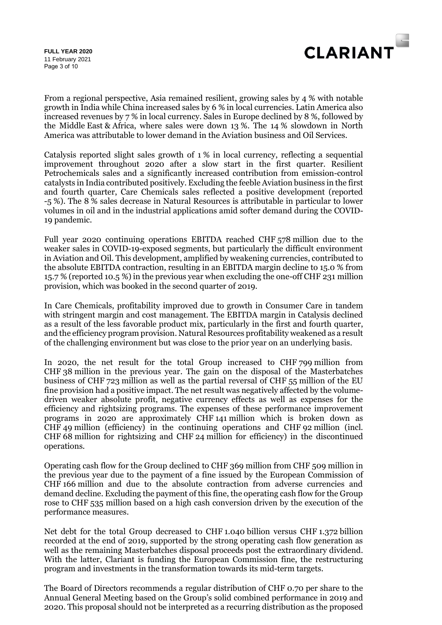

Page 3 of 10 **FULL YEAR 2020** 11 February 2021

From a regional perspective, Asia remained resilient, growing sales by 4 % with notable growth in India while China increased sales by 6 % in local currencies. Latin America also increased revenues by 7 % in local currency. Sales in Europe declined by 8 %, followed by the Middle East & Africa, where sales were down 13 %. The 14 % slowdown in North America was attributable to lower demand in the Aviation business and Oil Services.

Catalysis reported slight sales growth of 1 % in local currency, reflecting a sequential improvement throughout 2020 after a slow start in the first quarter. Resilient Petrochemicals sales and a significantly increased contribution from emission-control catalysts in India contributed positively. Excluding the feeble Aviation business in the first and fourth quarter, Care Chemicals sales reflected a positive development (reported -5 %). The 8 % sales decrease in Natural Resources is attributable in particular to lower volumes in oil and in the industrial applications amid softer demand during the COVID-19 pandemic.

Full year 2020 continuing operations EBITDA reached CHF 578 million due to the weaker sales in COVID-19-exposed segments, but particularly the difficult environment in Aviation and Oil. This development, amplified by weakening currencies, contributed to the absolute EBITDA contraction, resulting in an EBITDA margin decline to 15.0 % from 15.7 % (reported 10.5 %) in the previous year when excluding the one-off CHF 231 million provision, which was booked in the second quarter of 2019.

In Care Chemicals, profitability improved due to growth in Consumer Care in tandem with stringent margin and cost management. The EBITDA margin in Catalysis declined as a result of the less favorable product mix, particularly in the first and fourth quarter, and the efficiency program provision. Natural Resources profitability weakened as a result of the challenging environment but was close to the prior year on an underlying basis.

In 2020, the net result for the total Group increased to CHF 799 million from CHF 38 million in the previous year. The gain on the disposal of the Masterbatches business of CHF 723 million as well as the partial reversal of CHF 55 million of the EU fine provision had a positive impact. The net result was negatively affected by the volumedriven weaker absolute profit, negative currency effects as well as expenses for the efficiency and rightsizing programs. The expenses of these performance improvement programs in 2020 are approximately CHF 141 million which is broken down as CHF 49 million (efficiency) in the continuing operations and CHF 92 million (incl. CHF 68 million for rightsizing and CHF 24 million for efficiency) in the discontinued operations.

Operating cash flow for the Group declined to CHF 369 million from CHF 509 million in the previous year due to the payment of a fine issued by the European Commission of CHF 166 million and due to the absolute contraction from adverse currencies and demand decline. Excluding the payment of this fine, the operating cash flow for the Group rose to CHF 535 million based on a high cash conversion driven by the execution of the performance measures.

Net debt for the total Group decreased to CHF 1.040 billion versus CHF 1.372 billion recorded at the end of 2019, supported by the strong operating cash flow generation as well as the remaining Masterbatches disposal proceeds post the extraordinary dividend. With the latter, Clariant is funding the European Commission fine, the restructuring program and investments in the transformation towards its mid-term targets.

The Board of Directors recommends a regular distribution of CHF 0.70 per share to the Annual General Meeting based on the Group's solid combined performance in 2019 and 2020. This proposal should not be interpreted as a recurring distribution as the proposed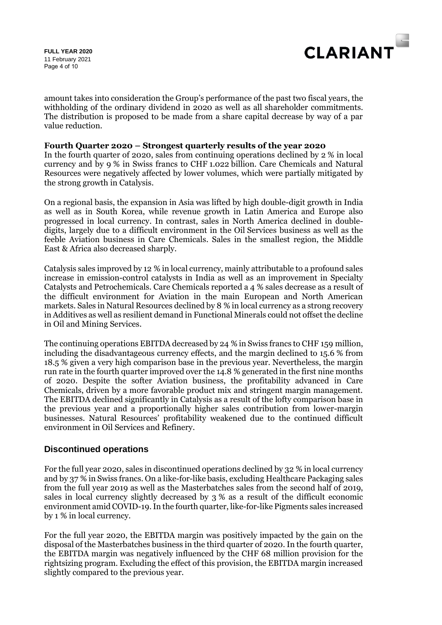Page 4 of 10 **FULL YEAR 2020** 11 February 2021



amount takes into consideration the Group's performance of the past two fiscal years, the withholding of the ordinary dividend in 2020 as well as all shareholder commitments. The distribution is proposed to be made from a share capital decrease by way of a par value reduction.

#### **Fourth Quarter 2020 – Strongest quarterly results of the year 2020**

In the fourth quarter of 2020, sales from continuing operations declined by 2 % in local currency and by 9 % in Swiss francs to CHF 1.022 billion. Care Chemicals and Natural Resources were negatively affected by lower volumes, which were partially mitigated by the strong growth in Catalysis.

On a regional basis, the expansion in Asia was lifted by high double-digit growth in India as well as in South Korea, while revenue growth in Latin America and Europe also progressed in local currency. In contrast, sales in North America declined in doubledigits, largely due to a difficult environment in the Oil Services business as well as the feeble Aviation business in Care Chemicals. Sales in the smallest region, the Middle East & Africa also decreased sharply.

Catalysis sales improved by 12 % in local currency, mainly attributable to a profound sales increase in emission-control catalysts in India as well as an improvement in Specialty Catalysts and Petrochemicals. Care Chemicals reported a 4 % sales decrease as a result of the difficult environment for Aviation in the main European and North American markets. Sales in Natural Resources declined by 8 % in local currency as a strong recovery in Additives as well as resilient demand in Functional Minerals could not offset the decline in Oil and Mining Services.

The continuing operations EBITDA decreased by 24 % in Swiss francs to CHF 159 million, including the disadvantageous currency effects, and the margin declined to 15.6 % from 18.5 % given a very high comparison base in the previous year. Nevertheless, the margin run rate in the fourth quarter improved over the 14.8 % generated in the first nine months of 2020. Despite the softer Aviation business, the profitability advanced in Care Chemicals, driven by a more favorable product mix and stringent margin management. The EBITDA declined significantly in Catalysis as a result of the lofty comparison base in the previous year and a proportionally higher sales contribution from lower-margin businesses. Natural Resources' profitability weakened due to the continued difficult environment in Oil Services and Refinery.

## **Discontinued operations**

For the full year 2020, sales in discontinued operations declined by 32 % in local currency and by 37 % in Swiss francs. On a like-for-like basis, excluding Healthcare Packaging sales from the full year 2019 as well as the Masterbatches sales from the second half of 2019, sales in local currency slightly decreased by 3 % as a result of the difficult economic environment amid COVID-19. In the fourth quarter, like-for-like Pigments sales increased by 1 % in local currency.

For the full year 2020, the EBITDA margin was positively impacted by the gain on the disposal of the Masterbatches business in the third quarter of 2020. In the fourth quarter, the EBITDA margin was negatively influenced by the CHF 68 million provision for the rightsizing program. Excluding the effect of this provision, the EBITDA margin increased slightly compared to the previous year.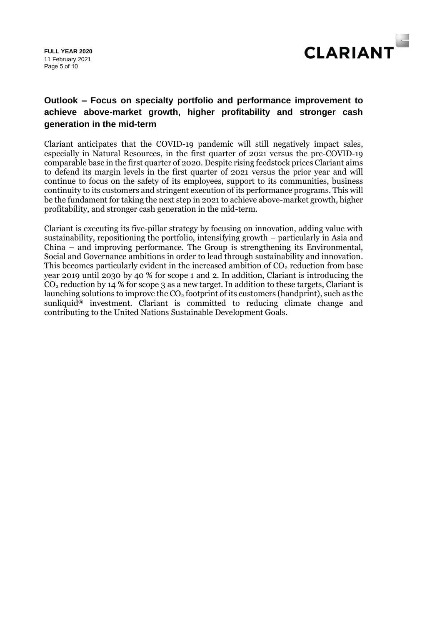Page 5 of 10 **FULL YEAR 2020** 11 February 2021



## **Outlook – Focus on specialty portfolio and performance improvement to achieve above-market growth, higher profitability and stronger cash generation in the mid-term**

Clariant anticipates that the COVID-19 pandemic will still negatively impact sales, especially in Natural Resources, in the first quarter of 2021 versus the pre-COVID-19 comparable base in the first quarter of 2020. Despite rising feedstock prices Clariant aims to defend its margin levels in the first quarter of 2021 versus the prior year and will continue to focus on the safety of its employees, support to its communities, business continuity to its customers and stringent execution of its performance programs. This will be the fundament for taking the next step in 2021 to achieve above-market growth, higher profitability, and stronger cash generation in the mid-term.

Clariant is executing its five-pillar strategy by focusing on innovation, adding value with sustainability, repositioning the portfolio, intensifying growth – particularly in Asia and China – and improving performance. The Group is strengthening its Environmental, Social and Governance ambitions in order to lead through sustainability and innovation. This becomes particularly evident in the increased ambition of  $CO<sub>2</sub>$  reduction from base year 2019 until 2030 by 40 % for scope 1 and 2. In addition, Clariant is introducing the  $CO<sub>2</sub>$  reduction by 14 % for scope 3 as a new target. In addition to these targets, Clariant is launching solutions to improve the  $CO<sub>2</sub>$  footprint of its customers (handprint), such as the sunliquid**®** investment. Clariant is committed to reducing climate change and contributing to the United Nations Sustainable Development Goals.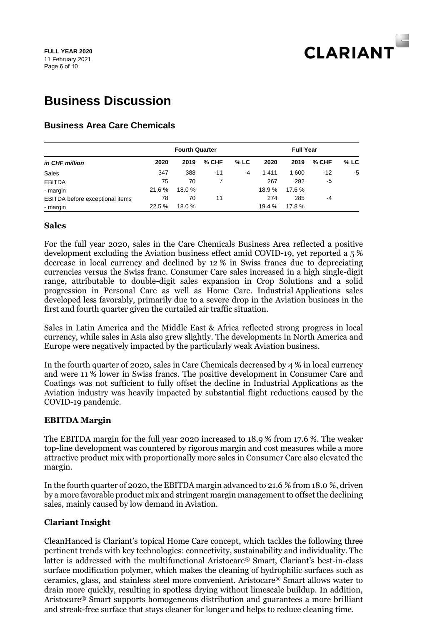

# **Business Discussion**

## **Business Area Care Chemicals**

| in CHF million                  |        | <b>Fourth Quarter</b> |         | <b>Full Year</b> |        |        |         |        |
|---------------------------------|--------|-----------------------|---------|------------------|--------|--------|---------|--------|
|                                 | 2020   | 2019                  | $%$ CHF | $%$ LC           | 2020   | 2019   | $%$ CHF | $%$ LC |
| Sales                           | 347    | 388                   | $-11$   | $-4$             | 1411   | 1 600  | $-12$   | -5     |
| <b>EBITDA</b>                   | 75     | 70                    |         |                  | 267    | 282    | -5      |        |
| - margin                        | 21.6 % | 18.0%                 |         |                  | 18.9 % | 17.6 % |         |        |
| EBITDA before exceptional items | 78     | 70                    | 11      |                  | 274    | 285    | $-4$    |        |
| - margin                        | 22.5 % | 18.0%                 |         |                  | 19.4 % | 17.8%  |         |        |

#### **Sales**

For the full year 2020, sales in the Care Chemicals Business Area reflected a positive development excluding the Aviation business effect amid COVID-19, yet reported a 5 % decrease in local currency and declined by 12 % in Swiss francs due to depreciating currencies versus the Swiss franc. Consumer Care sales increased in a high single-digit range, attributable to double-digit sales expansion in Crop Solutions and a solid progression in Personal Care as well as Home Care. Industrial Applications sales developed less favorably, primarily due to a severe drop in the Aviation business in the first and fourth quarter given the curtailed air traffic situation.

Sales in Latin America and the Middle East & Africa reflected strong progress in local currency, while sales in Asia also grew slightly. The developments in North America and Europe were negatively impacted by the particularly weak Aviation business.

In the fourth quarter of 2020, sales in Care Chemicals decreased by 4 % in local currency and were 11 % lower in Swiss francs. The positive development in Consumer Care and Coatings was not sufficient to fully offset the decline in Industrial Applications as the Aviation industry was heavily impacted by substantial flight reductions caused by the COVID-19 pandemic.

## **EBITDA Margin**

The EBITDA margin for the full year 2020 increased to 18.9 % from 17.6 %. The weaker top-line development was countered by rigorous margin and cost measures while a more attractive product mix with proportionally more sales in Consumer Care also elevated the margin.

In the fourth quarter of 2020, the EBITDA margin advanced to 21.6 % from 18.0 %, driven by a more favorable product mix and stringent margin management to offset the declining sales, mainly caused by low demand in Aviation.

## **Clariant Insight**

CleanHanced is Clariant's topical Home Care concept, which tackles the following three pertinent trends with key technologies: connectivity, sustainability and individuality. The latter is addressed with the multifunctional Aristocare® Smart, Clariant's best-in-class surface modification polymer, which makes the cleaning of hydrophilic surfaces such as ceramics, glass, and stainless steel more convenient. Aristocare® Smart allows water to drain more quickly, resulting in spotless drying without limescale buildup. In addition, Aristocare® Smart supports homogeneous distribution and guarantees a more brilliant and streak-free surface that stays cleaner for longer and helps to reduce cleaning time.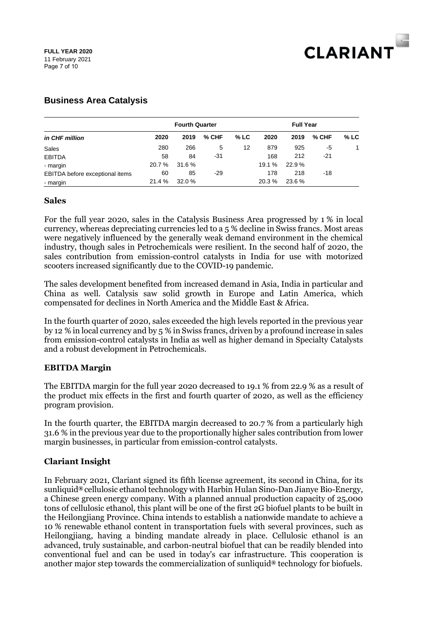

## **Business Area Catalysis**

|                                 |        | <b>Fourth Quarter</b> |         | <b>Full Year</b> |        |        |       |        |
|---------------------------------|--------|-----------------------|---------|------------------|--------|--------|-------|--------|
| in CHF million                  | 2020   | 2019                  | $%$ CHF | $%$ LC           | 2020   | 2019   | % CHF | $%$ LC |
| Sales                           | 280    | 266                   | 5       | 12               | 879    | 925    | -5    | 1      |
| <b>EBITDA</b>                   | 58     | 84                    | -31     |                  | 168    | 212    | -21   |        |
| - margin                        | 20.7 % | 31.6 %                |         |                  | 19.1 % | 22.9%  |       |        |
| EBITDA before exceptional items | 60     | 85                    | -29     |                  | 178    | 218    | -18   |        |
| - margin                        | 21.4 % | 32.0 %                |         |                  | 20.3 % | 23.6 % |       |        |

## **Sales**

For the full year 2020, sales in the Catalysis Business Area progressed by 1 % in local currency, whereas depreciating currencies led to a 5 % decline in Swiss francs. Most areas were negatively influenced by the generally weak demand environment in the chemical industry, though sales in Petrochemicals were resilient. In the second half of 2020, the sales contribution from emission-control catalysts in India for use with motorized scooters increased significantly due to the COVID-19 pandemic.

The sales development benefited from increased demand in Asia, India in particular and China as well. Catalysis saw solid growth in Europe and Latin America, which compensated for declines in North America and the Middle East & Africa.

In the fourth quarter of 2020, sales exceeded the high levels reported in the previous year by 12 % in local currency and by 5 % in Swiss francs, driven by a profound increase in sales from emission-control catalysts in India as well as higher demand in Specialty Catalysts and a robust development in Petrochemicals.

## **EBITDA Margin**

The EBITDA margin for the full year 2020 decreased to 19.1 % from 22.9 % as a result of the product mix effects in the first and fourth quarter of 2020, as well as the efficiency program provision.

In the fourth quarter, the EBITDA margin decreased to 20.7 % from a particularly high 31.6 % in the previous year due to the proportionally higher sales contribution from lower margin businesses, in particular from emission-control catalysts.

## **Clariant Insight**

In February 2021, Clariant signed its fifth license agreement, its second in China, for its sunliquid**®** cellulosic ethanol technology with Harbin Hulan Sino-Dan Jianye Bio-Energy, a Chinese green energy company. With a planned annual production capacity of 25,000 tons of cellulosic ethanol, this plant will be one of the first 2G biofuel plants to be built in the Heilongjiang Province. China intends to establish a nationwide mandate to achieve a 10 % renewable ethanol content in transportation fuels with several provinces, such as Heilongjiang, having a binding mandate already in place. Cellulosic ethanol is an advanced, truly sustainable, and carbon-neutral biofuel that can be readily blended into conventional fuel and can be used in today's car infrastructure. This cooperation is another major step towards the commercialization of sunliquid**®** technology for biofuels.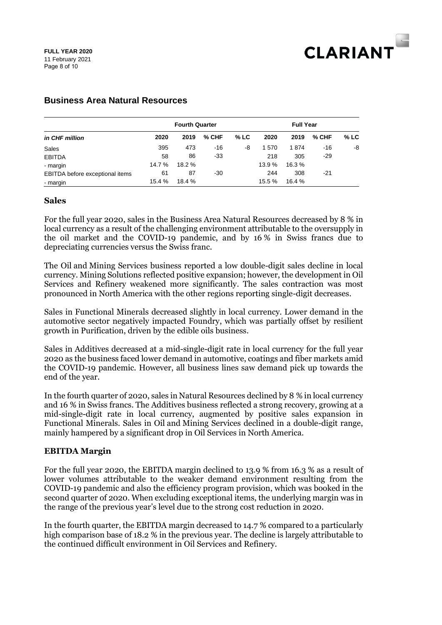

|                                 | <b>Fourth Quarter</b> |        |         |        | <b>Full Year</b> |        |         |        |
|---------------------------------|-----------------------|--------|---------|--------|------------------|--------|---------|--------|
| in CHF million                  | 2020                  | 2019   | $%$ CHF | $%$ LC | 2020             | 2019   | $%$ CHF | $%$ LC |
| Sales                           | 395                   | 473    | -16     | -8     | 1570             | 1874   | -16     | -8     |
| <b>EBITDA</b>                   | 58                    | 86     | $-33$   |        | 218              | 305    | -29     |        |
| - margin                        | 14.7 %                | 18.2 % |         |        | 13.9 %           | 16.3 % |         |        |
| EBITDA before exceptional items | 61                    | 87     | -30     |        | 244              | 308    | -21     |        |
| - margin                        | 15.4 %                | 18.4 % |         |        | 15.5 %           | 16.4 % |         |        |

## **Business Area Natural Resources**

#### **Sales**

For the full year 2020, sales in the Business Area Natural Resources decreased by 8 % in local currency as a result of the challenging environment attributable to the oversupply in the oil market and the COVID-19 pandemic, and by 16 % in Swiss francs due to depreciating currencies versus the Swiss franc.

The Oil and Mining Services business reported a low double-digit sales decline in local currency. Mining Solutions reflected positive expansion; however, the development in Oil Services and Refinery weakened more significantly. The sales contraction was most pronounced in North America with the other regions reporting single-digit decreases.

Sales in Functional Minerals decreased slightly in local currency. Lower demand in the automotive sector negatively impacted Foundry, which was partially offset by resilient growth in Purification, driven by the edible oils business.

Sales in Additives decreased at a mid-single-digit rate in local currency for the full year 2020 as the business faced lower demand in automotive, coatings and fiber markets amid the COVID-19 pandemic. However, all business lines saw demand pick up towards the end of the year.

In the fourth quarter of 2020, sales in Natural Resources declined by 8 % in local currency and 16 % in Swiss francs. The Additives business reflected a strong recovery, growing at a mid-single-digit rate in local currency, augmented by positive sales expansion in Functional Minerals. Sales in Oil and Mining Services declined in a double-digit range, mainly hampered by a significant drop in Oil Services in North America.

#### **EBITDA Margin**

For the full year 2020, the EBITDA margin declined to 13.9 % from 16.3 % as a result of lower volumes attributable to the weaker demand environment resulting from the COVID-19 pandemic and also the efficiency program provision, which was booked in the second quarter of 2020. When excluding exceptional items, the underlying margin was in the range of the previous year's level due to the strong cost reduction in 2020.

In the fourth quarter, the EBITDA margin decreased to 14.7 % compared to a particularly high comparison base of 18.2 % in the previous year. The decline is largely attributable to the continued difficult environment in Oil Services and Refinery.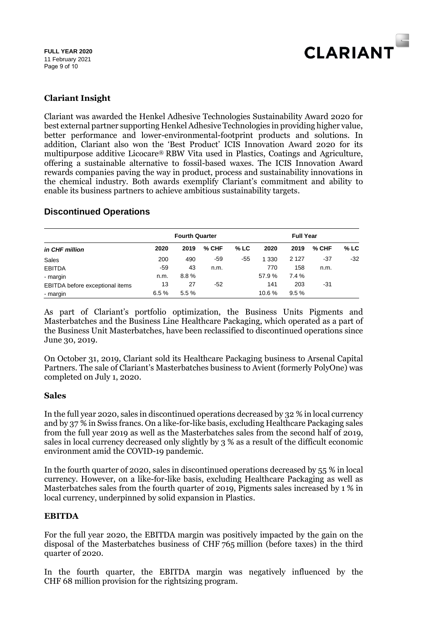

## **Clariant Insight**

Clariant was awarded the Henkel Adhesive Technologies Sustainability Award 2020 for best external partner supporting Henkel Adhesive Technologies in providing higher value, better performance and lower-environmental-footprint products and solutions. In addition, Clariant also won the 'Best Product' ICIS Innovation Award 2020 for its multipurpose additive Licocare® RBW Vita used in Plastics, Coatings and Agriculture, offering a sustainable alternative to fossil-based waxes. The ICIS Innovation Award rewards companies paving the way in product, process and sustainability innovations in the chemical industry. Both awards exemplify Clariant's commitment and ability to enable its business partners to achieve ambitious sustainability targets.

## **Discontinued Operations**

| in CHF million                  | <b>Fourth Quarter</b> |      |       |        | <b>Full Year</b> |         |       |        |
|---------------------------------|-----------------------|------|-------|--------|------------------|---------|-------|--------|
|                                 | 2020                  | 2019 | % CHF | $%$ LC | 2020             | 2019    | % CHF | $%$ LC |
| Sales                           | 200                   | 490  | -59   | -55    | 1 3 3 0          | 2 1 2 7 | -37   | $-32$  |
| <b>EBITDA</b>                   | $-59$                 | 43   | n.m.  |        | 770              | 158     | n.m.  |        |
| - margin                        | n.m.                  | 8.8% |       |        | 57.9 %           | 7.4 %   |       |        |
| EBITDA before exceptional items | 13                    | 27   | -52   |        | 141              | 203     | -31   |        |
| - margin                        | 6.5%                  | 5.5% |       |        | 10.6 %           | 9.5%    |       |        |

As part of Clariant's portfolio optimization, the Business Units Pigments and Masterbatches and the Business Line Healthcare Packaging, which operated as a part of the Business Unit Masterbatches, have been reclassified to discontinued operations since June 30, 2019.

On October 31, 2019, Clariant sold its Healthcare Packaging business to Arsenal Capital Partners. The sale of Clariant's Masterbatches business to Avient (formerly PolyOne) was completed on July 1, 2020.

## **Sales**

In the full year 2020, sales in discontinued operations decreased by 32 % in local currency and by 37 % in Swiss francs. On a like-for-like basis, excluding Healthcare Packaging sales from the full year 2019 as well as the Masterbatches sales from the second half of 2019, sales in local currency decreased only slightly by 3 % as a result of the difficult economic environment amid the COVID-19 pandemic.

In the fourth quarter of 2020, sales in discontinued operations decreased by 55 % in local currency. However, on a like-for-like basis, excluding Healthcare Packaging as well as Masterbatches sales from the fourth quarter of 2019, Pigments sales increased by 1 % in local currency, underpinned by solid expansion in Plastics.

## **EBITDA**

For the full year 2020, the EBITDA margin was positively impacted by the gain on the disposal of the Masterbatches business of CHF 765 million (before taxes) in the third quarter of 2020.

In the fourth quarter, the EBITDA margin was negatively influenced by the CHF 68 million provision for the rightsizing program.